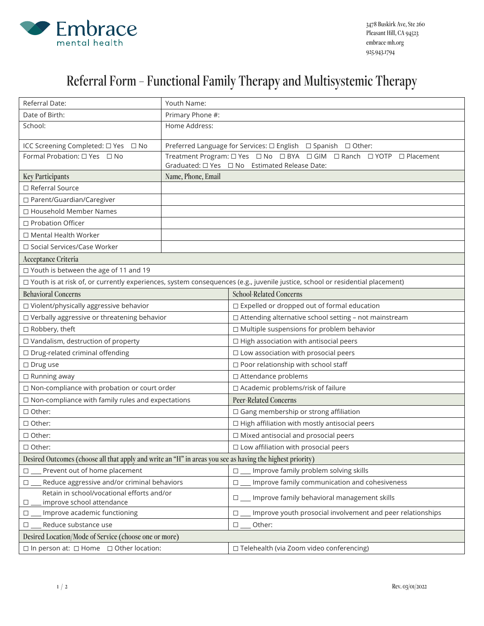

## Referral Form – Functional Family Therapy and Multisystemic Therapy

| Referral Date:                                                                                            | Youth Name:        |                                                                                                                                       |
|-----------------------------------------------------------------------------------------------------------|--------------------|---------------------------------------------------------------------------------------------------------------------------------------|
| Date of Birth:                                                                                            | Primary Phone #:   |                                                                                                                                       |
| School:                                                                                                   | Home Address:      |                                                                                                                                       |
| ICC Screening Completed: □ Yes □ No                                                                       |                    | Preferred Language for Services: □ English □ Spanish □ Other:                                                                         |
| Formal Probation: □ Yes □ No                                                                              |                    | Treatment Program: O Yes O No O BYA O GIM O Ranch O YOTP O Placement<br>Graduated: $\square$ Yes $\square$ No Estimated Release Date: |
| <b>Key Participants</b>                                                                                   | Name, Phone, Email |                                                                                                                                       |
| □ Referral Source                                                                                         |                    |                                                                                                                                       |
| □ Parent/Guardian/Caregiver                                                                               |                    |                                                                                                                                       |
| □ Household Member Names                                                                                  |                    |                                                                                                                                       |
| □ Probation Officer                                                                                       |                    |                                                                                                                                       |
| $\Box$ Mental Health Worker                                                                               |                    |                                                                                                                                       |
| □ Social Services/Case Worker                                                                             |                    |                                                                                                                                       |
| Acceptance Criteria                                                                                       |                    |                                                                                                                                       |
| □ Youth is between the age of 11 and 19                                                                   |                    |                                                                                                                                       |
|                                                                                                           |                    | □ Youth is at risk of, or currently experiences, system consequences (e.g., juvenile justice, school or residential placement)        |
| <b>Behavioral Concerns</b>                                                                                |                    | <b>School-Related Concerns</b>                                                                                                        |
| □ Violent/physically aggressive behavior                                                                  |                    | □ Expelled or dropped out of formal education                                                                                         |
| □ Verbally aggressive or threatening behavior                                                             |                    | □ Attending alternative school setting - not mainstream                                                                               |
| □ Robbery, theft                                                                                          |                    | □ Multiple suspensions for problem behavior                                                                                           |
| □ Vandalism, destruction of property                                                                      |                    | $\Box$ High association with antisocial peers                                                                                         |
| □ Drug-related criminal offending                                                                         |                    | $\square$ Low association with prosocial peers                                                                                        |
| $\square$ Drug use                                                                                        |                    | □ Poor relationship with school staff                                                                                                 |
| $\Box$ Running away                                                                                       |                    | □ Attendance problems                                                                                                                 |
| $\square$ Non-compliance with probation or court order                                                    |                    | □ Academic problems/risk of failure                                                                                                   |
| $\square$ Non-compliance with family rules and expectations                                               |                    | <b>Peer-Related Concerns</b>                                                                                                          |
| □ Other:                                                                                                  |                    | □ Gang membership or strong affiliation                                                                                               |
| □ Other:                                                                                                  |                    | $\Box$ High affiliation with mostly antisocial peers                                                                                  |
| $\Box$ Other:                                                                                             |                    | □ Mixed antisocial and prosocial peers                                                                                                |
| $\Box$ Other:                                                                                             |                    | $\Box$ Low affiliation with prosocial peers                                                                                           |
| Desired Outcomes (choose all that apply and write an "H" in areas you see as having the highest priority) |                    |                                                                                                                                       |
| Prevent out of home placement<br>$\Box$                                                                   |                    | Improve family problem solving skills<br>$\Box$                                                                                       |
| Reduce aggressive and/or criminal behaviors<br>$\Box$                                                     |                    | Improve family communication and cohesiveness<br>$\Box$                                                                               |
| Retain in school/vocational efforts and/or<br>improve school attendance<br>□                              |                    | □ __ Improve family behavioral management skills                                                                                      |
| Improve academic functioning<br>$\Box$                                                                    |                    | Improve youth prosocial involvement and peer relationships<br>$\Box$                                                                  |
| Reduce substance use<br>$\Box$                                                                            |                    | Other:<br>$\Box$                                                                                                                      |
| Desired Location/Mode of Service (choose one or more)                                                     |                    |                                                                                                                                       |
| $\Box$ In person at: $\Box$ Home $\Box$ Other location:                                                   |                    | □ Telehealth (via Zoom video conferencing)                                                                                            |